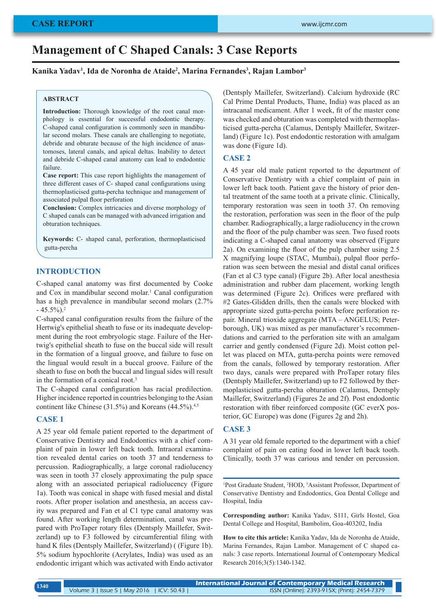# **Management of C Shaped Canals: 3 Case Reports**

## **Kanika Yadav1 , Ida de Noronha de Ataide2 , Marina Fernandes3 , Rajan Lambor3**

## **ABSTRACT**

**Introduction:** Thorough knowledge of the root canal morphology is essential for successful endodontic therapy. C-shaped canal configuration is commonly seen in mandibular second molars. These canals are challenging to negotiate, debride and obturate because of the high incidence of anastomoses, lateral canals, and apical deltas. Inability to detect and debride C-shaped canal anatomy can lead to endodontic failure.

**Case report:** This case report highlights the management of three different cases of C- shaped canal configurations using thermoplasticised gutta-percha technique and management of associated pulpal floor perforation

**Conclusion:** Complex intricacies and diverse morphology of C shaped canals can be managed with advanced irrigation and obturation techniques.

**Keywords:** C- shaped canal, perforation, thermoplasticised gutta-percha

# **INTRODUCTION**

C-shaped canal anatomy was first documented by Cooke and Cox in mandibular second molar.<sup>1</sup> Canal configuration has a high prevalence in mandibular second molars (2.7%  $-45.5\%$ ).<sup>2</sup>

C-shaped canal configuration results from the failure of the Hertwig's epithelial sheath to fuse or its inadequate development during the root embryologic stage. Failure of the Hertwig's epithelial sheath to fuse on the buccal side will result in the formation of a lingual groove, and failure to fuse on the lingual would result in a buccal groove. Failure of the sheath to fuse on both the buccal and lingual sides will result in the formation of a conical root.<sup>3</sup>

The C-shaped canal configuration has racial predilection. Higher incidence reported in countries belonging to the Asian continent like Chinese  $(31.5\%)$  and Koreans  $(44.5\%)$ <sup>4,5</sup>

# **CASE 1**

A 25 year old female patient reported to the department of Conservative Dentistry and Endodontics with a chief complaint of pain in lower left back tooth. Intraoral examination revealed dental caries on tooth 37 and tenderness to percussion. Radiographically, a large coronal radiolucency was seen in tooth 37 closely approximating the pulp space along with an associated periapical radiolucency (Figure 1a). Tooth was conical in shape with fused mesial and distal roots. After proper isolation and anesthesia, an access cavity was prepared and Fan et al C1 type canal anatomy was found. After working length determination, canal was prepared with ProTaper rotary files (Dentsply Maillefer, Switzerland) up to F3 followed by circumferential filing with hand K files (Dentsply Maillefer, Switzerland) ( (Figure 1b). 5% sodium hypochlorite (Acrylates, India) was used as an endodontic irrigant which was activated with Endo activator (Dentsply Maillefer, Switzerland). Calcium hydroxide (RC Cal Prime Dental Products, Thane, India) was placed as an intracanal medicament. After 1 week, fit of the master cone was checked and obturation was completed with thermoplasticised gutta-percha (Calamus, Dentsply Maillefer, Switzerland) (Figure 1c). Post endodontic restoration with amalgam was done (Figure 1d).

#### **CASE 2**

A 45 year old male patient reported to the department of Conservative Dentistry with a chief complaint of pain in lower left back tooth. Patient gave the history of prior dental treatment of the same tooth at a private clinic. Clinically, temporary restoration was seen in tooth 37. On removing the restoration, perforation was seen in the floor of the pulp chamber. Radiographically, a large radiolucency in the crown and the floor of the pulp chamber was seen. Two fused roots indicating a C-shaped canal anatomy was observed (Figure 2a). On examining the floor of the pulp chamber using 2.5 X magnifying loupe (STAC, Mumbai), pulpal floor perforation was seen between the mesial and distal canal orifices (Fan et al C3 type canal) (Figure 2b). After local anesthesia administration and rubber dam placement, working length was determined (Figure 2c). Orifices were preflared with #2 Gates-Glidden drills, then the canals were blocked with appropriate sized gutta-percha points before perforation repair. Mineral trioxide aggregate (MTA – ANGELUS; Peterborough, UK) was mixed as per manufacturer's recommendations and carried to the perforation site with an amalgam carrier and gently condensed (Figure 2d). Moist cotton pellet was placed on MTA, gutta-percha points were removed from the canals, followed by temporary restoration. After two days, canals were prepared with ProTaper rotary files (Dentsply Maillefer, Switzerland) up to F2 followed by thermoplasticised gutta-percha obturation (Calamus, Dentsply Maillefer, Switzerland) (Figures 2e and 2f). Post endodontic restoration with fiber reinforced composite (GC everX posterior, GC Europe) was done (Figures 2g and 2h).

# **CASE 3**

A 31 year old female reported to the department with a chief complaint of pain on eating food in lower left back tooth. Clinically, tooth 37 was carious and tender on percussion.

<sup>1</sup>Post Graduate Student, <sup>2</sup>HOD, <sup>3</sup>Assistant Professor, Department of Conservative Dentistry and Endodontics, Goa Dental College and Hospital, India

**Corresponding author:** Kanika Yadav, S111, Girls Hostel, Goa Dental College and Hospital, Bambolim, Goa-403202, India

**How to cite this article:** Kanika Yadav, Ida de Noronha de Ataide, Marina Fernandes, Rajan Lambor. Management of C shaped canals: 3 case reports. International Journal of Contemporary Medical Research 2016;3(5):1340-1342.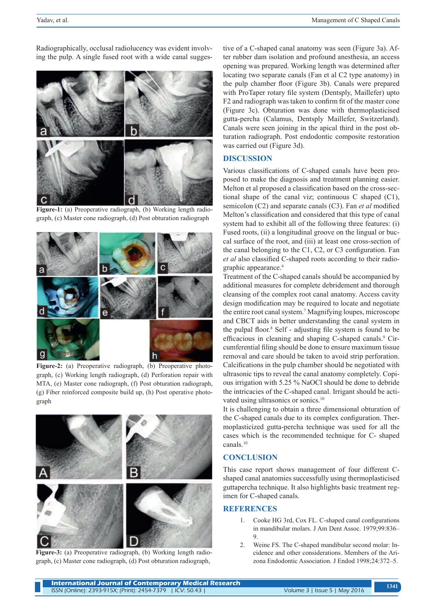Radiographically, occlusal radiolucency was evident involving the pulp. A single fused root with a wide canal sugges-

C

**Figure-1:** (a) Preoperative radiograph, (b) Working length radiograph, (c) Master cone radiograph, (d) Post obturation radiograph

Figure-2: (a) Preoperative radiograph, (b) Preoperative photograph, (c) Working length radiograph, (d) Perforation repair with MTA, (e) Master cone radiograph, (f) Post obturation radiograph, (g) Fiber reinforced composite build up, (h) Post operative photograph



**Figure-3:** (a) Preoperative radiograph, (b) Working length radiograph, (c) Master cone radiograph, (d) Post obturation radiograph,

tive of a C-shaped canal anatomy was seen (Figure 3a). After rubber dam isolation and profound anesthesia, an access opening was prepared. Working length was determined after locating two separate canals (Fan et al C2 type anatomy) in the pulp chamber floor (Figure 3b). Canals were prepared with ProTaper rotary file system (Dentsply, Maillefer) upto F2 and radiograph was taken to confirm fit of the master cone (Figure 3c). Obturation was done with thermoplasticised gutta-percha (Calamus, Dentsply Maillefer, Switzerland). Canals were seen joining in the apical third in the post obturation radiograph. Post endodontic composite restoration was carried out (Figure 3d).

## **DISCUSSION**

Various classifications of C-shaped canals have been proposed to make the diagnosis and treatment planning easier. Melton et al proposed a classification based on the cross-sectional shape of the canal viz; continuous C shaped (C1), semicolon (C2) and separate canals (C3). Fan *et al* modified Melton's classification and considered that this type of canal system had to exhibit all of the following three features: (i) Fused roots, (ii) a longitudinal groove on the lingual or buccal surface of the root, and (iii) at least one cross‑section of the canal belonging to the C1, C2, or C3 configuration. Fan *et al* also classified C‑shaped roots according to their radiographic appearance.<sup>6</sup>

Treatment of the C-shaped canals should be accompanied by additional measures for complete debridement and thorough cleansing of the complex root canal anatomy. Access cavity design modification may be required to locate and negotiate the entire root canal system.<sup>7</sup> Magnifying loupes, microscope and CBCT aids in better understanding the canal system in the pulpal floor.<sup>8</sup> Self - adjusting file system is found to be efficacious in cleaning and shaping C-shaped canals.<sup>9</sup> Circumferential filing should be done to ensure maximum tissue removal and care should be taken to avoid strip perforation. Calcifications in the pulp chamber should be negotiated with ultrasonic tips to reveal the canal anatomy completely. Copious irrigation with 5.25 % NaOCl should be done to debride the intricacies of the C-shaped canal. Irrigant should be activated using ultrasonics or sonics.<sup>10</sup>

It is challenging to obtain a three dimensional obturation of the C-shaped canals due to its complex configuration. Thermoplasticized gutta-percha technique was used for all the cases which is the recommended technique for C- shaped canals.<sup>10</sup>

#### **CONCLUSION**

This case report shows management of four different Cshaped canal anatomies successfully using thermoplasticised guttapercha technique. It also highlights basic treatment regimen for C-shaped canals.

# **REFERENCES**

- 1. Cooke HG 3rd, Cox FL. C-shaped canal configurations in mandibular molars. J Am Dent Assoc. 1979;99:836– 9.
- 2. Weine FS. The C-shaped mandibular second molar: Incidence and other considerations. Members of the Arizona Endodontic Association. J Endod 1998;24:372–5.